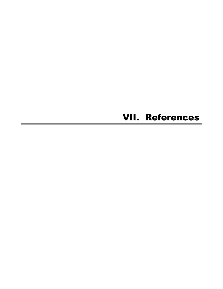## VII. References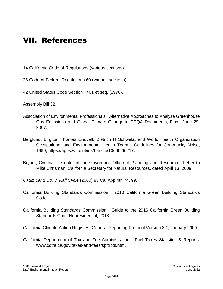14 California Code of Regulations (various sections).

- 36 Code of Federal Regulations 60 (various sections).
- 42 United States Code Section 7401 et seq. (1970).

Assembly Bill 32.

- Association of Environmental Professionals. Alternative Approaches to Analyze Greenhouse Gas Emissions and Global Climate Change in CEQA Documents, Final, June 29, 2007.
- Berglund, Birgitta, Thomas Lindvall, Dietrich H Schwela, and World Health Organization Occupational and Environmental Health Team. Guidelines for Community Noise, 1999, https://apps.who.int/iris/handle/10665/66217.
- Bryant, Cynthia. Director of the Governor's Office of Planning and Research. Letter to Mike Chrisman, California Secretary for Natural Resources, dated April 13, 2009.

*Cadiz Land Co. v. Rail Cycle* (2000) 83 Cal.App.4th 74, 99.

- California Building Standards Commission. 2010 California Green Building Standards Code.
- California Building Standards Commission. Guide to the 2016 California Green Building Standards Code Nonresidential, 2018.

California Climate Action Registry. General Reporting Protocol Version 3.1, January 2009.

California Department of Tax and Fee Administration. Fuel Taxes Statistics & Reports, www.cdtfa.ca.gov/taxes-and-fees/spftrpts.htm.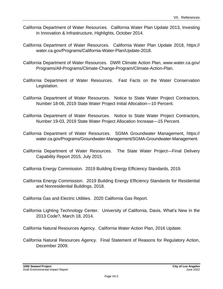- California Department of Water Resources. California Water Plan Update 2013, Investing in Innovation & Infrastructure, Highlights, October 2014.
- California Department of Water Resources. California Water Plan Update 2018, https:// water.ca.gov/Programs/California-Water-Plan/Update-2018.
- California Department of Water Resources. DWR Climate Action Plan, www.water.ca.gov/ Programs/All-Programs/Climate-Change-Program/Climate-Action-Plan.
- California Department of Water Resources. Fast Facts on the Water Conservation Legislation.
- California Department of Water Resources. Notice to State Water Project Contractors, Number 18-06, 2019 State Water Project Initial Allocation—10 Percent.
- California Department of Water Resources. Notice to State Water Project Contractors, Number 19-03, 2019 State Water Project Allocation Increase—15 Percent.
- California Department of Water Resources. SGMA Groundwater Management, https:// water.ca.gov/Programs/Groundwater-Management/SGMA-Groundwater-Management.
- California Department of Water Resources. The State Water Project—Final Delivery Capability Report 2015, July 2015.
- California Energy Commission. 2019 Building Energy Efficiency Standards, 2019.
- California Energy Commission. 2019 Building Energy Efficiency Standards for Residential and Nonresidential Buildings, 2018.
- California Gas and Electric Utilities. 2020 California Gas Report.
- California Lighting Technology Center. University of California, Davis, What's New in the 2013 Code?, March 18, 2014.

California Natural Resources Agency. California Water Action Plan, 2016 Update.

California Natural Resources Agency. Final Statement of Reasons for Regulatory Action, December 2009.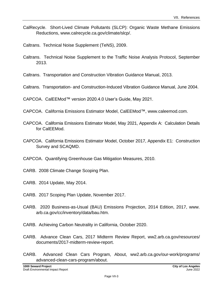- CalRecycle. Short-Lived Climate Pollutants (SLCP): Organic Waste Methane Emissions Reductions, www.calrecycle.ca.gov/climate/slcp/.
- Caltrans. Technical Noise Supplement (TeNS), 2009.
- Caltrans. Technical Noise Supplement to the Traffic Noise Analysis Protocol, September 2013.
- Caltrans. Transportation and Construction Vibration Guidance Manual, 2013.
- Caltrans. Transportation- and Construction-Induced Vibration Guidance Manual, June 2004.

CAPCOA. CalEEMod™ version 2020.4.0 User's Guide, May 2021.

- CAPCOA. California Emissions Estimator Model, CalEEMod™, www.caleemod.com.
- CAPCOA. California Emissions Estimator Model, May 2021, Appendix A: Calculation Details for CalEEMod.
- CAPCOA. California Emissions Estimator Model, October 2017, Appendix E1: Construction Survey and SCAQMD.
- CAPCOA. Quantifying Greenhouse Gas Mitigation Measures, 2010.
- CARB. 2008 Climate Change Scoping Plan.
- CARB. 2014 Update, May 2014.
- CARB. 2017 Scoping Plan Update, November 2017.
- CARB. 2020 Business-as-Usual (BAU) Emissions Projection, 2014 Edition, 2017, www. arb.ca.gov/cc/inventory/data/bau.htm.
- CARB. Achieving Carbon Neutrality in California, October 2020.
- CARB. Advance Clean Cars, 2017 Midterm Review Report, ww2.arb.ca.gov/resources/ documents/2017-midterm-review-report.
- CARB. Advanced Clean Cars Program, About, ww2.arb.ca.gov/our-work/programs/ advanced-clean-cars-program/about.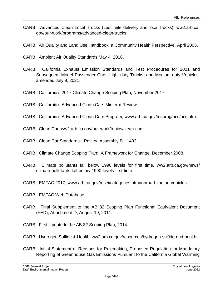- CARB. Advanced Clean Local Trucks (Last mile delivery and local trucks), ww2.arb.ca. gov/our-work/programs/advanced-clean-trucks.
- CARB. Air Quality and Land Use Handbook, a Community Health Perspective, April 2005.
- CARB. Ambient Air Quality Standards May 4, 2016.
- CARB. California Exhaust Emission Standards and Test Procedures for 2001 and Subsequent Model Passenger Cars, Light-duty Trucks, and Medium-duty Vehicles, amended July 9, 2021.
- CARB. California's 2017 Climate Change Scoping Plan, November 2017.
- CARB. California's Advanced Clean Cars Midterm Review.
- CARB. California's Advanced Clean Cars Program, www.arb.ca.gov/msprog/acc/acc.htm.
- CARB. Clean Car, ww2.arb.ca.gov/our-work/topics/clean-cars.
- CARB. Clean Car Standards—Pavley, Assembly Bill 1493.
- CARB. Climate Change Scoping Plan: A Framework for Change, December 2008.
- CARB. Climate pollutants fall below 1990 levels for first time, ww2.arb.ca.gov/news/ climate-pollutants-fall-below-1990-levels-first-time.
- CARB. EMFAC 2017, www.arb.ca.gov/msei/categories.htm#onroad\_motor\_vehicles.
- CARB. EMFAC Web Database.
- CARB. Final Supplement to the AB 32 Scoping Plan Functional Equivalent Document (FED), Attachment D, August 19, 2011.
- CARB. First Update to the AB 32 Scoping Plan, 2014.
- CARB. Hydrogen Sulfide & Health, ww2.arb.ca.gov/resources/hydrogen-sulfide-and-health.
- CARB. Initial Statement of Reasons for Rulemaking, Proposed Regulation for Mandatory Reporting of Greenhouse Gas Emissions Pursuant to the California Global Warming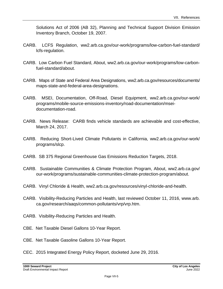Solutions Act of 2006 (AB 32), Planning and Technical Support Division Emission Inventory Branch, October 19, 2007.

- CARB. LCFS Regulation, ww2.arb.ca.gov/our-work/programs/low-carbon-fuel-standard/ lcfs-regulation.
- CARB. Low Carbon Fuel Standard, About, ww2.arb.ca.gov/our-work/programs/low-carbonfuel-standard/about.
- CARB. Maps of State and Federal Area Designations, ww2.arb.ca.gov/resources/documents/ maps-state-and-federal-area-designations.
- CARB. MSEI, Documentation, Off-Road, Diesel Equipment, ww2.arb.ca.gov/our-work/ programs/mobile-source-emissions-inventory/road-documentation/mseidocumentation-road.
- CARB. News Release: CARB finds vehicle standards are achievable and cost-effective, March 24, 2017.
- CARB. Reducing Short-Lived Climate Pollutants in California, ww2.arb.ca.gov/our-work/ programs/slcp.
- CARB. SB 375 Regional Greenhouse Gas Emissions Reduction Targets, 2018.
- CARB. Sustainable Communities & Climate Protection Program, About, ww2.arb.ca.gov/ our-work/programs/sustainable-communities-climate-protection-program/about.
- CARB. Vinyl Chloride & Health, ww2.arb.ca.gov/resources/vinyl-chloride-and-health.
- CARB. Visibility-Reducing Particles and Health, last reviewed October 11, 2016, www.arb. ca.gov/research/aaqs/common-pollutants/vrp/vrp.htm.
- CARB. Visibility-Reducing Particles and Health.
- CBE. Net Taxable Diesel Gallons 10-Year Report.
- CBE. Net Taxable Gasoline Gallons 10-Year Report.
- CEC. 2015 Integrated Energy Policy Report, docketed June 29, 2016.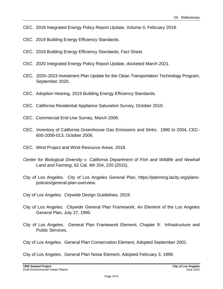- CEC. 2018 Integrated Energy Policy Report Update, Volume II, February 2019.
- CEC. 2019 Building Energy Efficiency Standards.
- CEC. 2019 Building Energy Efficiency Standards, Fact Sheet.
- CEC. 2020 Integrated Energy Policy Report Update, docketed March 2021.
- CEC. 2020–2023 Investment Plan Update for the Clean Transportation Technology Program, September 2020.
- CEC. Adoption Hearing, 2019 Building Energy Efficiency Standards.
- CEC. California Residential Appliance Saturation Survey, October 2010.
- CEC. Commercial End-Use Survey, March 2006.
- CEC. Inventory of California Greenhouse Gas Emissions and Sinks: 1990 to 2004, CEC-600-2006-013, October 2006.
- CEC. Wind Project and Wind Resource Areas, 2018.
- *Center for Biological Diversity v. California Department of Fish and Wildlife and Newhall Land and Farming*, 62 Cal. 4th 204, 220 (2015).
- City of Los Angeles. City of Los Angeles General Plan, https://planning.lacity.org/planspolicies/general-plan-overview.
- City of Los Angeles. Citywide Design Guidelines, 2019.
- City of Los Angeles. Citywide General Plan Framework, An Element of the Los Angeles General Plan, July 27, 1995.
- City of Los Angeles. General Plan Framework Element, Chapter 9: Infrastructure and Public Services.

City of Los Angeles. General Plan Conservation Element, Adopted September 2001.

City of Los Angeles. General Plan Noise Element, Adopted February 3, 1999.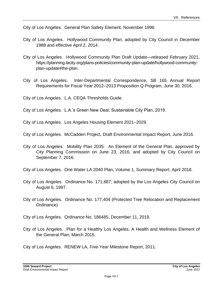City of Los Angeles. General Plan Safety Element, November 1996.

- City of Los Angeles. Hollywood Community Plan, adopted by City Council in December 1988 and effective April 2, 2014.
- City of Los Angeles. Hollywood Community Plan Draft Update—released February 2021, https://planning.lacity.org/plans-policies/community-plan-update/hollywood-communityplan-update#the-plan.
- City of Los Angeles. Inter-Departmental Correspondence, SB 165 Annual Report Requirements for Fiscal Year 2012–2013 Proposition Q Program, June 30, 2016.

City of Los Angeles. L.A. CEQA Thresholds Guide.

City of Los Angeles. L.A.'s Green New Deal, Sustainable City Plan, 2019.

City of Los Angeles. Los Angeles Housing Element 2021–2029.

City of Los Angeles. McCadden Project, Draft Environmental Impact Report, June 2016.

City of Los Angeles. Mobility Plan 2035: An Element of the General Plan, approved by City Planning Commission on June 23, 2016, and adopted by City Council on September 7, 2016.

City of Los Angeles. One Water LA 2040 Plan, Volume 1, Summary Report, April 2018.

- City of Los Angeles. Ordinance No. 171,687, adopted by the Los Angeles City Council on August 6, 1997.
- City of Los Angeles. Ordinance No. 177,404 (Protected Tree Relocation and Replacement Ordinance)
- City of Los Angeles. Ordinance No. 186485, December 11, 2019.
- City of Los Angeles. Plan for a Healthy Los Angeles, A Health and Wellness Element of the General Plan, March 2015.

City of Los Angeles. RENEW LA, Five-Year Milestone Report, 2011.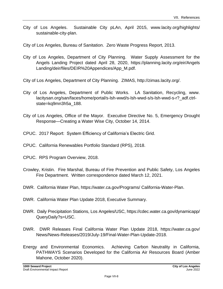- City of Los Angeles. Sustainable City pLAn, April 2015, www.lacity.org/highlights/ sustainable-city-plan.
- City of Los Angeles, Bureau of Sanitation. Zero Waste Progress Report, 2013.
- City of Los Angeles, Department of City Planning. Water Supply Assessment for the Angels Landing Project dated April 28, 2020, https://planning.lacity.org/eir/Angels Landing/deir/files/DEIR%20Appendices/App\_M.pdf.
- City of Los Angeles, Department of City Planning. ZIMAS, http://zimas.lacity.org/.
- City of Los Angeles, Department of Public Works. LA Sanitation, Recycling, www. lacitysan.org/san/faces/home/portal/s-lsh-wwd/s-lsh-wwd-s/s-lsh-wwd-s-r?\_adf.ctrlstate=kq9mn3h5a\_188.
- City of Los Angeles, Office of the Mayor. Executive Directive No. 5, Emergency Drought Response—Creating a Water Wise City, October 14, 2014.
- CPUC. 2017 Report: System Efficiency of California's Electric Grid.
- CPUC. California Renewables Portfolio Standard (RPS), 2018.
- CPUC. RPS Program Overview, 2018.
- Crowley, Kristin. Fire Marshal, Bureau of Fire Prevention and Public Safety, Los Angeles Fire Department. Written correspondence dated March 12, 2021.
- DWR. California Water Plan, https://water.ca.gov/Programs/ California-Water-Plan.
- DWR. California Water Plan Update 2018, Executive Summary.
- DWR. Daily Precipitation Stations, Los Angeles/USC, https://cdec.water.ca.gov/dynamicapp/ QueryDaily?s=USC.
- DWR. DWR Releases Final California Water Plan Update 2018, https://water.ca.gov/ News/News-Releases/2019/July-19/Final-Water-Plan-Update-2018.
- Energy and Environmental Economics. Achieving Carbon Neutrality in California, PATHWAYS Scenarios Developed for the California Air Resources Board (Amber Mahone, October 2020).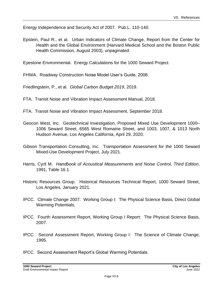Energy Independence and Security Act of 2007. Pub.L. 110-140.

Epstein, Paul R., et al. Urban Indicators of Climate Change, Report from the Center for Health and the Global Environment (Harvard Medical School and the Boston Public Health Commission, August 2003), unpaginated.

Eyestone Environmental. Energy Calculations for the 1000 Seward Project.

FHWA. Roadway Construction Noise Model User's Guide, 2006.

Friedlingstein, P., et al. *Global Carbon Budget 2019*, 2019.

- FTA. Transit Noise and Vibration Impact Assessment Manual, 2018.
- FTA. Transit Noise and Vibration Impact Assessment, September 2018.
- Geocon West, Inc. Geotechnical Investigation, Proposed Mixed Use Development 1000– 1006 Seward Street, 6565 West Romaine Street, and 1003, 1007, & 1013 North Hudson Avenue, Los Angeles California, April 29, 2020.
- Gibson Transportation Consulting, Inc. Transportation Assessment for the 1000 Seward Mixed-Use Development Project, July 2021.
- Harris, Cyril M. *Handbook of Acoustical Measurements and Noise Control, Third Edition*, 1991, Table 16.1.
- Historic Resources Group. Historical Resources Technical Report, 1000 Seward Street, Los Angeles, January 2021.
- IPCC. Climate Change 2007: Working Group I: The Physical Science Basis, Direct Global Warming Potentials.
- IPCC. Fourth Assessment Report, Working Group I Report: The Physical Science Basis, 2007.
- IPCC. Second Assessment Report, Working Group I: The Science of Climate Change, 1995.
- IPCC. Second Assessment Report's Global Warming Potentials.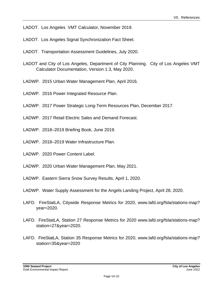LADOT. Los Angeles VMT Calculator, November 2019.

- LADOT. Los Angeles Signal Synchronization Fact Sheet.
- LADOT. Transportation Assessment Guidelines, July 2020.
- LADOT and City of Los Angeles, Department of City Planning. City of Los Angeles VMT Calculator Documentation, Version 1.3, May 2020.
- LADWP. 2015 Urban Water Management Plan, April 2016.
- LADWP. 2016 Power Integrated Resource Plan.
- LADWP. 2017 Power Strategic Long-Term Resources Plan, December 2017.
- LADWP. 2017 Retail Electric Sales and Demand Forecast.
- LADWP. 2018–2019 Briefing Book, June 2019.
- LADWP. 2018–2019 Water Infrastructure Plan.
- LADWP. 2020 Power Content Label.
- LADWP. 2020 Urban Water Management Plan, May 2021.
- LADWP. Eastern Sierra Snow Survey Results, April 1, 2020.
- LADWP. Water Supply Assessment for the Angels Landing Project, April 28, 2020.
- LAFD. FireStatLA, Citywide Response Metrics for 2020, www.lafd.org/fsla/stations-map? year=2020.
- LAFD. FireStatLA, Station 27 Response Metrics for 2020 www.lafd.org/fsla/stations-map? station=27&year=2020.
- LAFD. FireStatLA, Station 35 Response Metrics for 2020, www.lafd.org/fsla/stations-map? station=35&year=2020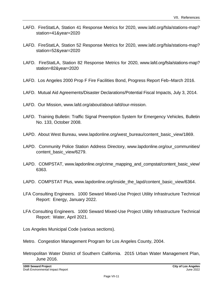- LAFD. FireStatLA, Station 41 Response Metrics for 2020, www.lafd.org/fsla/stations-map? station=41&year=2020
- LAFD. FireStatLA, Station 52 Response Metrics for 2020, www.lafd.org/fsla/stations-map? station=52&year=2020
- LAFD. FireStatLA, Station 82 Response Metrics for 2020, www.lafd.org/fsla/stations-map? station=82&year=2020
- LAFD. Los Angeles 2000 Prop F Fire Facilities Bond, Progress Report Feb–March 2016.
- LAFD. Mutual Aid Agreements/Disaster Declarations/Potential Fiscal Impacts, July 3, 2014.
- LAFD. Our Mission, www.lafd.org/about/about-lafd/our-mission.
- LAFD. Training Bulletin: Traffic Signal Preemption System for Emergency Vehicles, Bulletin No. 133, October 2008.
- LAPD. About West Bureau, www.lapdonline.org/west\_bureau/content\_basic\_view/1869.
- LAPD. Community Police Station Address Directory, www.lapdonline.org/our\_communities/ content\_basic\_view/6279.
- LAPD. COMPSTAT, www.lapdonline.org/crime\_mapping\_and\_compstat/content\_basic\_view/ 6363.
- LAPD. COMPSTAT Plus, www.lapdonline.org/inside\_the\_lapd/content\_basic\_view/6364.
- LFA Consulting Engineers. 1000 Seward Mixed-Use Project Utility Infrastructure Technical Report: Energy, January 2022.
- LFA Consulting Engineers. 1000 Seward Mixed-Use Project Utility Infrastructure Technical Report: Water, April 2021.

Los Angeles Municipal Code (various sections).

- Metro. Congestion Management Program for Los Angeles County, 2004.
- Metropolitan Water District of Southern California. 2015 Urban Water Management Plan, June 2016.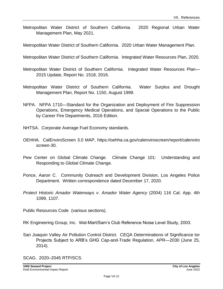- Metropolitan Water District of Southern California. 2020 Regional Urban Water Management Plan, May 2021.
- Metropolitan Water District of Southern California. 2020 Urban Water Management Plan.
- Metropolitan Water District of Southern California. Integrated Water Resources Plan, 2020.
- Metropolitan Water District of Southern California. Integrated Water Resources Plan— 2015 Update, Report No. 1518, 2016.
- Metropolitan Water District of Southern California. Water Surplus and Drought Management Plan, Report No. 1150, August 1999.
- NFPA. NFPA 1710—Standard for the Organization and Deployment of Fire Suppression Operations, Emergency Medical Operations, and Special Operations to the Public by Career Fire Departments, 2016 Edition.
- NHTSA. Corporate Average Fuel Economy standards.
- OEHHA. CalEnviroScreen 3.0 MAP, https://oehha.ca.gov/calenviroscreen/report/calenviro screen-30.
- Pew Center on Global Climate Change. Climate Change 101: Understanding and Responding to Global Climate Change.
- Ponce, Aaron C. Community Outreach and Development Division, Los Angeles Police Department. Written correspondence dated December 17, 2020.
- *Protect Historic Amador Waterways v. Amador Water Agency* (2004) 116 Cal. App. 4th 1099, 1107.

Public Resources Code (various sections).

RK Engineering Group, Inc. Wal-Mart/Sam's Club Reference Noise Level Study, 2003.

San Joaquin Valley Air Pollution Control District. CEQA Determinations of Significance tor Projects Subject to ARB's GHG Cap-and-Trade Regulation, APR—2030 (June 25, 2014).

SCAG. 2020–2045 RTP/SCS.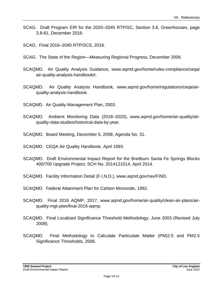- SCAG. Draft Program EIR for the 2020–2045 RTP/SC, Section 3.8, Greenhouses, page 3.8-61, December 2019.
- SCAG. Final 2016–2040 RTP/SCS, 2016.
- SCAG. The State of the Region—Measuring Regional Progress, December 2006.
- SCAQMD. Air Quality Analysis Guidance, www.aqmd.gov/home/rules-compliance/ceqa/ air-quality-analysis-handbook#.
- SCAQMD. Air Quality Analysis Handbook, www.aqmd.gov/home/regulations/ceqa/airquality-analysis-handbook.
- SCAQMD. Air Quality Management Plan, 2003.
- SCAQMD. Ambient Monitoring Data (2018–2020), www.aqmd.gov/home/air-quality/airquality-data-studies/historical-data-by-year.
- SCAQMD. Board Meeting, December 5, 2008, Agenda No. 31.
- SCAQMD. CEQA Air Quality Handbook, April 1993.
- SCAQMD. Draft Environmental Impact Report for the Breitburn Santa Fe Springs Blocks 400/700 Upgrade Project, SCH No. 2014121014, April 2014.
- SCAQMD. Facility Information Detail (F.I.N.D.), www.aqmd.gov/nav/FIND.
- SCAQMD. Federal Attainment Plan for Carbon Monoxide, 1992.
- SCAQMD. Final 2016 AQMP, 2017, www.aqmd.gov/home/air-quality/clean-air-plans/airquality-mgt-plan/final-2016-aqmp.
- SCAQMD. Final Localized Significance Threshold Methodology, June 2003 (Revised July 2008).
- SCAQMD. Final Methodology to Calculate Particulate Matter (PM)2.5 and PM2.5 Significance Thresholds, 2006.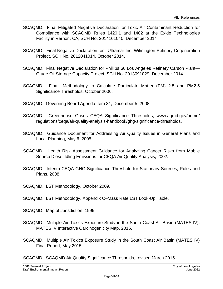- SCAQMD. Final Mitigated Negative Declaration for Toxic Air Contaminant Reduction for Compliance with SCAQMD Rules 1420.1 and 1402 at the Exide Technologies Facility in Vernon, CA, SCH No. 2014101040, December 2014
- SCAQMD. Final Negative Declaration for: Ultramar Inc. Wilmington Refinery Cogeneration Project, SCH No. 2012041014, October 2014.
- SCAQMD. Final Negative Declaration tor Phillips 66 Los Angeles Refinery Carson Plant— Crude Oil Storage Capacity Project, SCH No. 2013091029, December 2014
- SCAQMD. Final—Methodology to Calculate Particulate Matter (PM) 2.5 and PM2.5 Significance Thresholds, October 2006.
- SCAQMD. Governing Board Agenda Item 31, December 5, 2008.
- SCAQMD. Greenhouse Gases CEQA Significance Thresholds, www.aqmd.gov/home/ regulations/ceqa/air-quality-analysis-handbook/ghg-significance-thresholds.
- SCAQMD. Guidance Document for Addressing Air Quality Issues in General Plans and Local Planning, May 6, 2005.
- SCAQMD. Health Risk Assessment Guidance for Analyzing Cancer Risks from Mobile Source Diesel Idling Emissions for CEQA Air Quality Analysis, 2002.
- SCAQMD. Interim CEQA GHG Significance Threshold for Stationary Sources, Rules and Plans, 2008.
- SCAQMD. LST Methodology, October 2009.
- SCAQMD. LST Methodology, Appendix C–Mass Rate LST Look-Up Table.
- SCAQMD. Map of Jurisdiction, 1999.
- SCAQMD. Multiple Air Toxics Exposure Study in the South Coast Air Basin (MATES-IV), MATES IV Interactive Carcinogenicity Map, 2015.
- SCAQMD. Multiple Air Toxics Exposure Study in the South Coast Air Basin (MATES IV) Final Report, May 2015.
- SCAQMD. SCAQMD Air Quality Significance Thresholds, revised March 2015.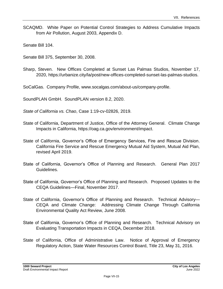SCAQMD. White Paper on Potential Control Strategies to Address Cumulative Impacts from Air Pollution, August 2003, Appendix D.

Senate Bill 104.

Senate Bill 375, September 30, 2008.

Sharp, Steven. New Offices Completed at Sunset Las Palmas Studios, November 17, 2020, https://urbanize.city/la/post/new-offices-completed-sunset-las-palmas-studios.

SoCalGas. Company Profile, www.socalgas.com/about-us/company-profile.

SoundPLAN GmbH. SoundPLAN version 8.2, 2020.

*State of California vs. Chao*, Case 1:19-cv-02826, 2019.

- State of California, Department of Justice, Office of the Attorney General. Climate Change Impacts in California, https://oag.ca.gov/environment/impact.
- State of California, Governor's Office of Emergency Services, Fire and Rescue Division. California Fire Service and Rescue Emergency Mutual Aid System, Mutual Aid Plan, revised April 2019.
- State of California, Governor's Office of Planning and Research. General Plan 2017 Guidelines.
- State of California, Governor's Office of Planning and Research. Proposed Updates to the CEQA Guidelines—Final, November 2017.
- State of California, Governor's Office of Planning and Research. Technical Advisory— CEQA and Climate Change: Addressing Climate Change Through California Environmental Quality Act Review, June 2008.
- State of California, Governor's Office of Planning and Research. Technical Advisory on Evaluating Transportation Impacts in CEQA, December 2018.
- State of California, Office of Administrative Law. Notice of Approval of Emergency Regulatory Action, State Water Resources Control Board, Title 23, May 31, 2016.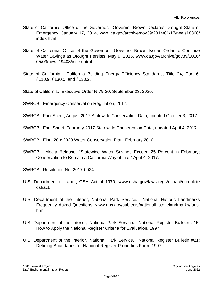- State of California, Office of the Governor. Governor Brown Declares Drought State of Emergency, January 17, 2014, www.ca.gov/archive/gov39/2014/01/17/news18368/ index.html.
- State of California, Office of the Governor. Governor Brown Issues Order to Continue Water Savings as Drought Persists, May 9, 2016, www.ca.gov/archive/gov39/2016/ 05/09/news19408/index.html.
- State of California. California Building Energy Efficiency Standards, Title 24, Part 6, §110.9, §130.0, and §130.2.
- State of California. Executive Order N-79-20, September 23, 2020.
- SWRCB. Emergency Conservation Regulation, 2017.
- SWRCB. Fact Sheet, August 2017 Statewide Conservation Data, updated October 3, 2017.
- SWRCB. Fact Sheet, February 2017 Statewide Conservation Data, updated April 4, 2017.
- SWRCB. Final 20 x 2020 Water Conservation Plan, February 2010.
- SWRCB. Media Release, "Statewide Water Savings Exceed 25 Percent in February; Conservation to Remain a California Way of Life," April 4, 2017.
- SWRCB. Resolution No. 2017-0024.
- U.S. Department of Labor, OSH Act of 1970, www.osha.gov/laws-regs/oshact/complete oshact.
- U.S. Department of the Interior, National Park Service. National Historic Landmarks Frequently Asked Questions, www.nps.gov/subjects/nationalhistoriclandmarks/faqs. htm.
- U.S. Department of the Interior, National Park Service. National Register Bulletin #15: How to Apply the National Register Criteria for Evaluation, 1997.
- U.S. Department of the Interior, National Park Service. National Register Bulletin #21: Defining Boundaries for National Register Properties Form, 1997.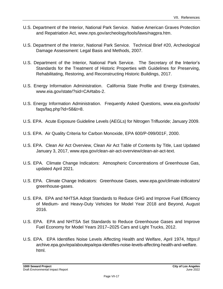- U.S. Department of the Interior, National Park Service. Native American Graves Protection and Repatriation Act, www.nps.gov/archeology/tools/laws/nagpra.htm.
- U.S. Department of the Interior, National Park Service. Technical Brief #20, Archeological Damage Assessment: Legal Basis and Methods, 2007.
- U.S. Department of the Interior, National Park Service. The Secretary of the Interior's Standards for the Treatment of Historic Properties with Guidelines for Preserving, Rehabilitating, Restoring, and Reconstructing Historic Buildings, 2017.
- U.S. Energy Information Administration. California State Profile and Energy Estimates, www.eia.gov/state/?sid=CA#tabs-2.
- U.S. Energy Information Administration. Frequently Asked Questions, www.eia.gov/tools/ faqs/faq.php?id=58&t=8.
- U.S. EPA. Acute Exposure Guideline Levels (AEGLs) for Nitrogen Trifluoride; January 2009.
- U.S. EPA. Air Quality Criteria for Carbon Monoxide, EPA 600/P-099/001F, 2000.
- U.S. EPA. Clean Air Act Overview, Clean Air Act Table of Contents by Title, Last Updated January 3, 2017, www.epa.gov/clean-air-act-overview/clean-air-act-text.
- U.S. EPA. Climate Change Indicators: Atmospheric Concentrations of Greenhouse Gas, updated April 2021.
- U.S. EPA. Climate Change Indicators: Greenhouse Gases, www.epa.gov/climate-indicators/ greenhouse-gases.
- U.S. EPA. EPA and NHTSA Adopt Standards to Reduce GHG and Improve Fuel Efficiency of Medium- and Heavy-Duty Vehicles for Model Year 2018 and Beyond, August 2016.
- U.S. EPA. EPA and NHTSA Set Standards to Reduce Greenhouse Gases and Improve Fuel Economy for Model Years 2017–2025 Cars and Light Trucks, 2012.
- U.S. EPA. EPA Identifies Noise Levels Affecting Health and Welfare, April 1974, https:// archive.epa.gov/epa/aboutepa/epa-identifies-noise-levels-affecting-health-and-welfare. html.